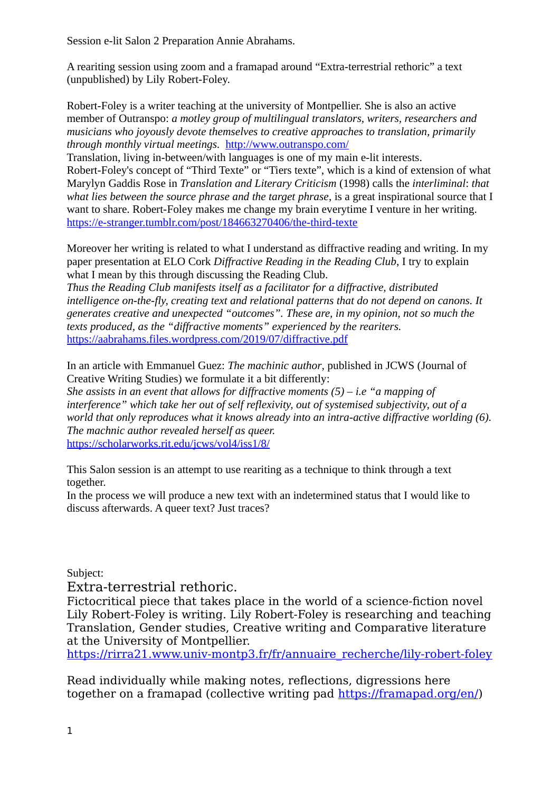Session e-lit Salon 2 Preparation Annie Abrahams.

A reariting session using zoom and a framapad around "Extra-terrestrial rethoric" a text (unpublished) by Lily Robert-Foley.

Robert-Foley is a writer teaching at the university of Montpellier. She is also an active member of Outranspo: *a motley group of multilingual translators, writers, researchers and musicians who joyously devote themselves to creative approaches to translation, primarily through monthly virtual meetings.* <http://www.outranspo.com/>

Translation, living in-between/with languages is one of my main e-lit interests. Robert-Foley's concept of "Third Texte" or "Tiers texte", which is a kind of extension of what Marylyn Gaddis Rose in *Translation and Literary Criticism* (1998) calls the *interliminal*: *that what lies between the source phrase and the target phrase*, is a great inspirational source that I want to share. Robert-Foley makes me change my brain everytime I venture in her writing. <https://e-stranger.tumblr.com/post/184663270406/the-third-texte>

Moreover her writing is related to what I understand as diffractive reading and writing. In my paper presentation at ELO Cork *Diffractive Reading in the Reading Club*, I try to explain what I mean by this through discussing the Reading Club.

*Thus the Reading Club manifests itself as a facilitator for a diffractive, distributed intelligence on-the-fly, creating text and relational patterns that do not depend on canons. It generates creative and unexpected "outcomes". These are, in my opinion, not so much the texts produced, as the "diffractive moments" experienced by the reariters.* <https://aabrahams.files.wordpress.com/2019/07/diffractive.pdf>

In an article with Emmanuel Guez: *The machinic author*, published in JCWS (Journal of Creative Writing Studies) we formulate it a bit differently:

*She assists in an event that allows for diffractive moments (5) – i.e "a mapping of interference" which take her out of self reflexivity, out of systemised subjectivity, out of a world that only reproduces what it knows already into an intra-active diffractive worlding (6). The machnic author revealed herself as queer.* <https://scholarworks.rit.edu/jcws/vol4/iss1/8/>

This Salon session is an attempt to use reariting as a technique to think through a text together.

In the process we will produce a new text with an indetermined status that I would like to discuss afterwards. A queer text? Just traces?

Subject:

Extra-terrestrial rethoric.

Fictocritical piece that takes place in the world of a science-fiction novel Lily Robert-Foley is writing. Lily Robert-Foley is researching and teaching Translation, Gender studies, Creative writing and Comparative literature at the University of Montpellier.

[https://rirra21.www.univ-montp3.fr/fr/annuaire\\_recherche/lily-robert-foley](https://rirra21.www.univ-montp3.fr/fr/annuaire_recherche/lily-robert-foley)

Read individually while making notes, reflections, digressions here together on a framapad (collective writing pad [https://framapad.org/en/\)](https://framapad.org/en/)